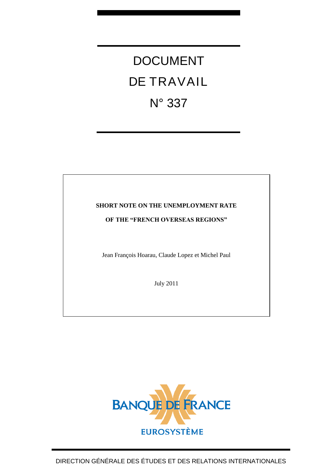## DOCUMENT DE TRAVAIL N° 337

#### **SHORT NOTE ON THE UNEMPLOYMENT RATE**

#### **OF THE "FRENCH OVERSEAS REGIONS"**

Jean François Hoarau, Claude Lopez et Michel Paul

July 2011

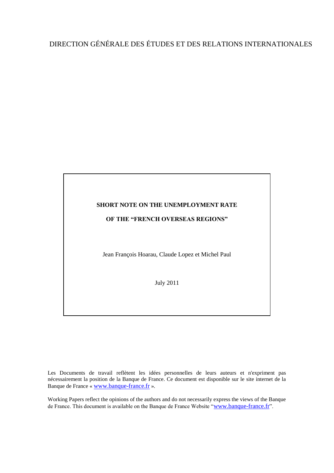### DIRECTION GÉNÉRALE DES ÉTUDES ET DES RELATIONS INTERNATIONALES

# **SHORT NOTE ON THE UNEMPLOYMENT RATE OF THE "FRENCH OVERSEAS REGIONS"**

Jean François Hoarau, Claude Lopez et Michel Paul

July 2011

Les Documents de travail reflètent les idées personnelles de leurs auteurs et n'expriment pas nécessairement la position de la Banque de France. Ce document est disponible sur le site internet de la Banque de France « [www.banque-france.fr](http://www.banque-france.fr/) ».

Working Papers reflect the opinions of the authors and do not necessarily express the views of the Banque de France. This document is available on the Banque de France Website "[www.banque-france.fr](http://www.banque-france.fr/)".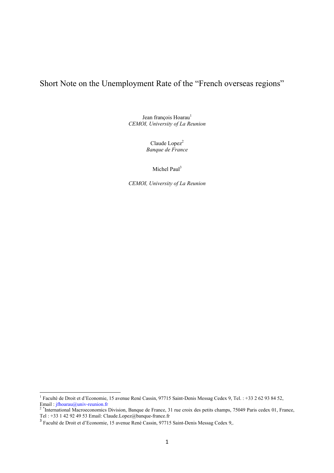Short Note on the Unemployment Rate of the "French overseas regions"

Jean françois Hoarau<sup>1</sup> *CEMOI, University of La Reunion* 

> Claude Lopez<sup>2</sup> *Banque de France*

> > Michel Paul<sup>3</sup>

*CEMOI, University of La Reunion*

 1 Faculté de Droit et d'Economie, 15 avenue René Cassin, 97715 Saint-Denis Messag Cedex 9, Tel. : +33 2 62 93 84 52, Email : jfhoarau@univ-reunion.fr<br><sup>2</sup> \*International Macroeconomics Division, Banque de France, 31 rue croix des petits champs, 75049 Paris cedex 01, France,

Tel : +33 1 42 92 49 53 Email: Claude.Lopez@banque-france.fr

<sup>3</sup> Faculté de Droit et d'Economie, 15 avenue René Cassin, 97715 Saint-Denis Messag Cedex 9,.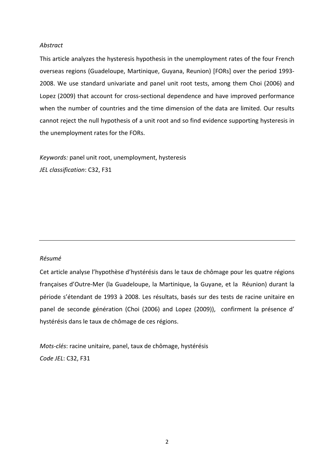#### *Abstract*

This article analyzes the hysteresis hypothesis in the unemployment rates of the four French overseas regions (Guadeloupe, Martinique, Guyana, Reunion) [FORs] over the period 1993‐ 2008. We use standard univariate and panel unit root tests, among them Choi (2006) and Lopez (2009) that account for cross-sectional dependence and have improved performance when the number of countries and the time dimension of the data are limited. Our results cannot reject the null hypothesis of a unit root and so find evidence supporting hysteresis in the unemployment rates for the FORs.

*Keywords:* panel unit root, unemployment, hysteresis *JEL classification*: C32, F31

#### *Résumé*

Cet article analyse l'hypothèse d'hystérésis dans le taux de chômage pour les quatre régions françaises d'Outre‐Mer (la Guadeloupe, la Martinique, la Guyane, et la Réunion) durant la période s'étendant de 1993 à 2008. Les résultats, basés sur des tests de racine unitaire en panel de seconde génération (Choi (2006) and Lopez (2009)), confirment la présence d' hystérésis dans le taux de chômage de ces régions.

*Mots‐clés*: racine unitaire, panel, taux de chômage, hystérésis *Code JEL*: C32, F31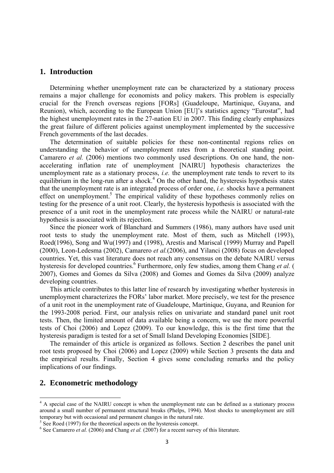#### **1. Introduction**

Determining whether unemployment rate can be characterized by a stationary process remains a major challenge for economists and policy makers. This problem is especially crucial for the French overseas regions [FORs] (Guadeloupe, Martinique, Guyana, and Reunion), which, according to the European Union [EU]'s statistics agency "Eurostat", had the highest unemployment rates in the 27-nation EU in 2007. This finding clearly emphasizes the great failure of different policies against unemployment implemented by the successive French governments of the last decades.

The determination of suitable policies for these non-continental regions relies on understanding the behavior of unemployment rates from a theoretical standing point. Camarero *et al.* (2006) mentions two commonly used descriptions. On one hand, the nonaccelerating inflation rate of unemployment [NAIRU] hypothesis characterizes the unemployment rate as a stationary process, *i.e.* the unemployment rate tends to revert to its equilibrium in the long-run after a shock.<sup>4</sup> On the other hand, the hysteresis hypothesis states that the unemployment rate is an integrated process of order one, *i.e.* shocks have a permanent effect on unemployment.<sup>5</sup> The empirical validity of these hypotheses commonly relies on testing for the presence of a unit root. Clearly, the hysteresis hypothesis is associated with the presence of a unit root in the unemployment rate process while the NAIRU or natural-rate hypothesis is associated with its rejection.

Since the pioneer work of Blanchard and Summers (1986), many authors have used unit root tests to study the unemployment rate. Most of them, such as Mitchell (1993), Roed(1996), Song and Wu(1997) and (1998), Arestis and Mariscal (1999) Murray and Papell (2000), Leon-Ledesma (2002), Camarero *et al.*(2006), and Yilanci (2008) focus on developed countries. Yet, this vast literature does not reach any consensus on the debate NAIRU versus hysteresis for developed countries.<sup>6</sup> Furthermore, only few studies, among them Chang *et al.* ( 2007), Gomes and Gomes da Silva (2008) and Gomes and Gomes da Silva (2009) analyze developing countries.

This article contributes to this latter line of research by investigating whether hysteresis in unemployment characterizes the FORs' labor market. More precisely, we test for the presence of a unit root in the unemployment rate of Guadeloupe, Martinique, Guyana, and Reunion for the 1993-2008 period. First, our analysis relies on univariate and standard panel unit root tests. Then, the limited amount of data available being a concern, we use the more powerful tests of Choi (2006) and Lopez (2009). To our knowledge, this is the first time that the hysteresis paradigm is tested for a set of Small Island Developing Economies [SIDE].

The remainder of this article is organized as follows. Section 2 describes the panel unit root tests proposed by Choi (2006) and Lopez (2009) while Section 3 presents the data and the empirical results. Finally, Section 4 gives some concluding remarks and the policy implications of our findings.

#### **2. Econometric methodology**

<sup>&</sup>lt;sup>4</sup> A special case of the NAIRU concept is when the unemployment rate can be defined as a stationary process around a small number of permanent structural breaks (Phelps, 1994). Most shocks to unemployment are still temporary but with occasional and permanent changes in the natural rate.

 $5$  See Roed (1997) for the theoretical aspects on the hysteresis concept.

 $6$  See Camarero *et al.* (2006) and Chang *et al.* (2007) for a recent survey of this literature.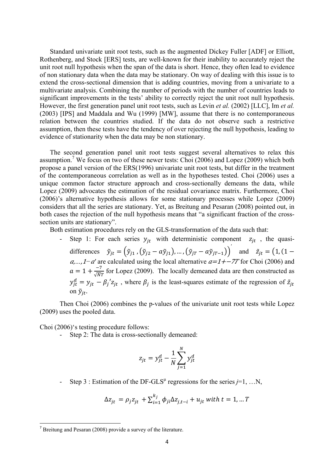Standard univariate unit root tests, such as the augmented Dickey Fuller [ADF] or Elliott, Rothenberg, and Stock [ERS] tests, are well-known for their inability to accurately reject the unit root null hypothesis when the span of the data is short. Hence, they often lead to evidence of non stationary data when the data may be stationary. On way of dealing with this issue is to extend the cross-sectional dimension that is adding countries, moving from a univariate to a multivariate analysis. Combining the number of periods with the number of countries leads to significant improvements in the tests' ability to correctly reject the unit root null hypothesis. However, the first generation panel unit root tests, such as Levin *et al.* (2002) [LLC], Im *et al.* (2003) [IPS] and Maddala and Wu (1999) [MW], assume that there is no contemporaneous relation between the countries studied. If the data do not observe such a restrictive assumption, then these tests have the tendency of over rejecting the null hypothesis, leading to evidence of stationarity when the data may be non stationary.

The second generation panel unit root tests suggest several alternatives to relax this assumption.<sup>7</sup> We focus on two of these newer tests: Choi (2006) and Lopez (2009) which both propose a panel version of the ERS(1996) univariate unit root tests, but differ in the treatment of the contemporaneous correlation as well as in the hypotheses tested. Choi (2006) uses a unique common factor structure approach and cross-sectionally demeans the data, while Lopez (2009) advocates the estimation of the residual covariance matrix. Furthermore, Choi (2006)'s alternative hypothesis allows for some stationary processes while Lopez (2009) considers that all the series are stationary. Yet, as Breitung and Pesaran (2008) pointed out, in both cases the rejection of the null hypothesis means that "a significant fraction of the crosssection units are stationary".

Both estimation procedures rely on the GLS-transformation of the data such that:

Step 1: For each series  $y_{jt}$  with deterministic component  $z_{jt}$ , the quasidifferences  $\tilde{y}_{jt} = (\tilde{y}_{j1}, (\tilde{y}_{j2} - a\tilde{y}_{j1}), ..., (\tilde{y}_{jT} - a\tilde{y}_{jT-1}))^{T}$  and  $\tilde{z}_{jt} = (1, (1 - \tilde{y}_{j1} + a\tilde{y}_{j1} + a\tilde{y}_{j1} + a\tilde{y}_{j1} + a\tilde{y}_{j1} + a\tilde{y}_{j1} + a\tilde{y}_{j1} + a\tilde{y}_{j1} + a\tilde{y}_{j1} + a\tilde{y}_{j1} + a\tilde{y}_{j1} + a\$ *a*,...,1−*a'* are calculated using the local alternative  $a=1+{-7T}$  for Choi (2006) and  $a = 1 + \frac{-7}{\sqrt{N}T}$  for Lopez (2009). The locally demeaned data are then constructed as  $y_{jt}^d = y_{jt} - \beta_j' z_{jt}$ , where  $\beta_j$  is the least-squares estimate of the regression of  $\tilde{z}_{jt}$ on  $\tilde{v}_{it}$ .

Then Choi (2006) combines the p-values of the univariate unit root tests while Lopez (2009) uses the pooled data.

Choi (2006)'s testing procedure follows:

Step 2: The data is cross-sectionally demeaned:

$$
z_{jt} = y_{jt}^d - \frac{1}{N} \sum_{j=1}^N y_{jt}^d
$$

- Step 3 : Estimation of the DF-GLS<sup> $\mu$ </sup> regressions for the series  $j=1, \ldots N$ ,

$$
\Delta z_{jt} = \rho_j z_{jt} + \sum_{i=1}^{k_j} \phi_{ji} \Delta z_{j,t-i} + u_{jt} \text{ with } t = 1, ... T
$$

 $7$  Breitung and Pesaran (2008) provide a survey of the literature.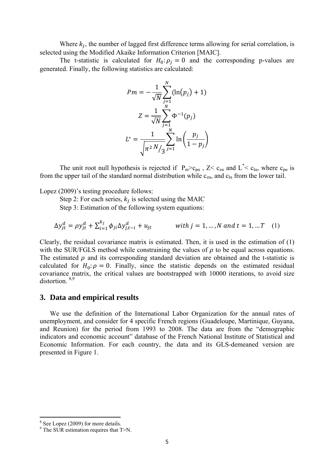Where  $k_i$ , the number of lagged first difference terms allowing for serial correlation, is selected using the Modified Akaike Information Criterion [MAIC].

The t-statistic is calculated for  $H_0: \rho_i = 0$  and the corresponding p-values are generated. Finally, the following statistics are calculated:

$$
Pm = -\frac{1}{\sqrt{N}} \sum_{j=1}^{N} (\ln(p_j) + 1)
$$

$$
Z = \frac{1}{\sqrt{N}} \sum_{j=1}^{N} \Phi^{-1}(p_j)
$$

$$
L^* = \frac{1}{\sqrt{n^2 N / 3}} \sum_{j=1}^{N} \ln\left(\frac{p_j}{1 - p_j}\right)
$$

The unit root null hypothesis is rejected if  $P_m > c_{pa}$ ,  $Z < c_{za}$  and  $L^* < c_{la}$ , where  $c_{pa}$  is from the upper tail of the standard normal distribution while  $c_{z\alpha}$ , and  $c_{\alpha}$  from the lower tail.

Lopez (2009)'s testing procedure follows:

Step 2: For each series,  $k_i$  is selected using the MAIC

Step 3: Estimation of the following system equations:

$$
\Delta y_{jt}^d = \rho y_{jt}^d + \sum_{i=1}^{k_j} \phi_{ji} \Delta y_{j,t-i}^d + u_{jt} \qquad \text{with } j = 1, ..., N \text{ and } t = 1, ...T \quad (1)
$$

Clearly, the residual covariance matrix is estimated. Then, it is used in the estimation of (1) with the SUR/FGLS method while constraining the values of  $\rho$  to be equal across equations. The estimated  $\rho$  and its corresponding standard deviation are obtained and the t-statistic is calculated for  $H_0: \rho = 0$ . Finally, since the statistic depends on the estimated residual covariance matrix, the critical values are bootstrapped with 10000 iterations, to avoid size distortion<sup>8,9</sup>

#### **3. Data and empirical results**

We use the definition of the International Labor Organization for the annual rates of unemployment, and consider for 4 specific French regions (Guadeloupe, Martinique, Guyana, and Reunion) for the period from 1993 to 2008. The data are from the "demographic indicators and economic account" database of the French National Institute of Statistical and Economic Information. For each country, the data and its GLS-demeaned version are presented in Figure 1.

 <sup>8</sup> See Lopez (2009) for more details.

<sup>9</sup> The SUR estimation requires that T>N.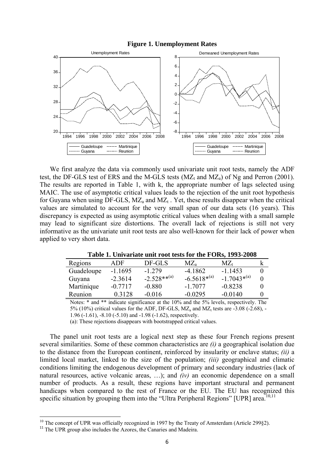

We first analyze the data via commonly used univariate unit root tests, namely the ADF test, the DF-GLS test of ERS and the M-GLS tests  $(MZ_t$  and  $MZ_a)$  of Ng and Perron (2001). The results are reported in Table 1, with k, the appropriate number of lags selected using MAIC. The use of asymptotic critical values leads to the rejection of the unit root hypothesis for Guyana when using DF-GLS,  $MZ_a$  and  $MZ_t$ . Yet, these results disappear when the critical values are simulated to account for the very small span of our data sets (16 years). This discrepancy is expected as using asymptotic critical values when dealing with a small sample may lead to significant size distortions. The overall lack of rejections is still not very informative as the univariate unit root tests are also well-known for their lack of power when applied to very short data.

**Table 1. Univariate unit root tests for the FORs, 1993-2008** 

| Regions    | ADF.      | DF-GLS            | $MZ_a$           | $MZ_{t}$         |  |
|------------|-----------|-------------------|------------------|------------------|--|
| Guadeloupe | $-1.1695$ | $-1.279$          | $-4.1862$        | $-1.1453$        |  |
| Guyana     | $-2.3614$ | $-2.528***^{(a)}$ | $-6.5618^{*(a)}$ | $-1.7043^{*(a)}$ |  |
| Martinique | $-0.7717$ | -0.880            | $-17077$         | $-0.8238$        |  |
| Reunion    | 0.3128    | $-0.016$          | $-0.0295$        | $-0.0140$        |  |
|            |           |                   |                  |                  |  |

Notes: \* and \*\* indicate significance at the 10% and the 5% levels, respectively. The 5% (10%) critical values for the ADF, DF-GLS,  $MZ_a$  and  $MZ_t$  tests are -3.08 (-2.68), -1.96 (-1.61), -8.10 (-5.10) and -1.98 (-1.62), respectively.

(a): These rejections disappears with bootstrapped critical values.

The panel unit root tests are a logical next step as these four French regions present several similarities. Some of these common characteristics are *(i)* a geographical isolation due to the distance from the European continent, reinforced by insularity or enclave status; *(ii)* a limited local market, linked to the size of the population; *(iii)* geographical and climatic conditions limiting the endogenous development of primary and secondary industries (lack of natural resources, active volcanic areas, …); and *(iv)* an economic dependence on a small number of products. As a result, these regions have important structural and permanent handicaps when compared to the rest of France or the EU. The EU has recognized this specific situation by grouping them into the "Ultra Peripheral Regions" [UPR] area.<sup>10,11</sup>

<sup>&</sup>lt;sup>10</sup> The concept of UPR was officially recognized in 1997 by the Treaty of Amsterdam (Article 299§2).<sup>11</sup> The UPR group also includes the Azores, the Canaries and Madeira.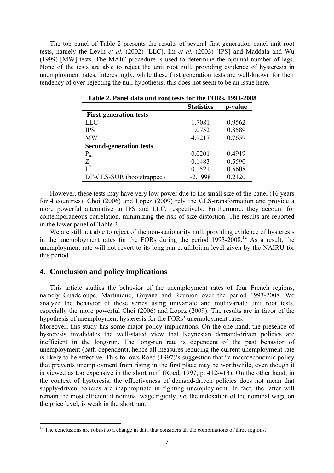The top panel of Table 2 presents the results of several first-generation panel unit root tests, namely the Levin *et al.* (2002) [LLC], Im *et al.* (2003) [IPS] and Maddala and Wu (1999) [MW] tests. The MAIC procedure is used to determine the optimal number of lags. None of the tests are able to reject the unit root null, providing evidence of hysteresis in unemployment rates. Interestingly, while these first generation tests are well-known for their tendency of over-rejecting the null hypothesis, this does not seem to be an issue here.

|                                | <b>Statistics</b> | p-value |
|--------------------------------|-------------------|---------|
| <b>First-generation tests</b>  |                   |         |
| <b>LLC</b>                     | 1.7081            | 0.9562  |
| <b>IPS</b>                     | 1.0752            | 0.8589  |
| <b>MW</b>                      | 4.9217            | 0.7659  |
| <b>Second-generation tests</b> |                   |         |
| $P_{m}$                        | 0.0201            | 0.4919  |
| Z                              | 0.1483            | 0.5590  |
| $\overline{L}^*$               | 0.1521            | 0.5608  |
| DF-GLS-SUR (bootstrapped)      | $-2.1998$         | 0.2120  |

| Table 2. Panel data unit root tests for the FORs, 1993-2008 |  |  |
|-------------------------------------------------------------|--|--|
|                                                             |  |  |

However, these tests may have very low power due to the small size of the panel (16 years for 4 countries). Choi (2006) and Lopez (2009) rely the GLS-transformation and provide a more powerful alternative to IPS and LLC, respectively. Furthermore, they account for contemporaneous correlation, minimizing the risk of size distortion. The results are reported in the lower panel of Table 2.

We are still not able to reject of the non-stationarity null, providing evidence of hysteresis in the unemployment rates for the FORs during the period 1993-2008.12 As a result, the unemployment rate will not revert to its long-run equilibrium level given by the NAIRU for this period.

#### **4. Conclusion and policy implications**

This article studies the behavior of the unemployment rates of four French regions, namely Guadeloupe, Martinique, Guyana and Reunion over the period 1993-2008. We analyze the behavior of these series using univariate and multivariate unit root tests, especially the more powerful Choi (2006) and Lopez (2009). The results are in favor of the hypothesis of unemployment hysteresis for the FORs' unemployment rates.

Moreover, this study has some major policy implications. On the one hand, the presence of hysteresis invalidates the well-stated view that Keynesian demand-driven policies are inefficient in the long-run. The long-run rate is dependent of the past behavior of unemployment (path-dependent), hence all measures reducing the current unemployment rate is likely to be effective. This follows Roed (1997)'s suggestion that "a macroeconomic policy that prevents unemployment from rising in the first place may be worthwhile, even though it is viewed as too expensive in the short run" (Roed, 1997, p. 412-413). On the other hand, in the context of hysteresis, the effectiveness of demand-driven policies does not mean that supply-driven policies are inappropriate in fighting unemployment. In fact, the latter will remain the most efficient if nominal wage rigidity, *i.e.* the indexation of the nominal wage on the price level, is weak in the short run.

 $12$  The conclusions are robust to a change in data that considers all the combinations of three regions.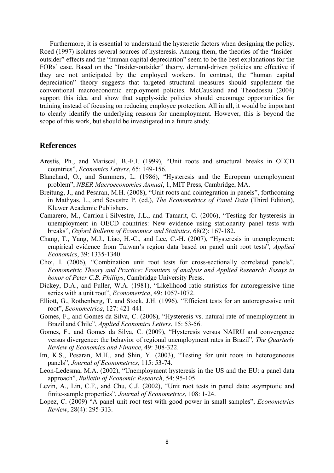Furthermore, it is essential to understand the hysteretic factors when designing the policy. Roed (1997) isolates several sources of hysteresis. Among them, the theories of the "Insideroutsider" effects and the "human capital depreciation" seem to be the best explanations for the FORs' case. Based on the "Insider-outsider" theory, demand-driven policies are effective if they are not anticipated by the employed workers. In contrast, the "human capital depreciation" theory suggests that targeted structural measures should supplement the conventional macroeconomic employment policies. McCausland and Theodossiu (2004) support this idea and show that supply-side policies should encourage opportunities for training instead of focusing on reducing employee protection. All in all, it would be important to clearly identify the underlying reasons for unemployment. However, this is beyond the scope of this work, but should be investigated in a future study.

#### **References**

- Arestis, Ph., and Mariscal, B.-F.I. (1999), "Unit roots and structural breaks in OECD countries", *Economics Letters*, 65: 149-156.
- Blanchard, O., and Summers, L. (1986), "Hysteresis and the European unemployment problem", *NBER Macroeconomics Annual*, 1, MIT Press, Cambridge, MA.
- Breitung, J., and Pesaran, M.H. (2008), "Unit roots and cointegration in panels", forthcoming in Mathyas, L., and Sevestre P. (ed.), *The Econometrics of Panel Data* (Third Edition), Kluwer Academic Publishers.
- Camarero, M., Carrion-i-Silvestre, J.L., and Tamarit, C. (2006), "Testing for hysteresis in unemployment in OECD countries: New evidence using stationarity panel tests with breaks", *Oxford Bulletin of Economics and Statistics*, 68(2): 167-182.
- Chang, T., Yang, M.J., Liao, H.-C., and Lee, C.-H. (2007), "Hysteresis in unemployment: empirical evidence from Taiwan's region data based on panel unit root tests", *Applied Economics*, 39: 1335-1340.
- Choi, I. (2006), "Combination unit root tests for cross-sectionally correlated panels", *Econometric Theory and Practice: Frontiers of analysis and Applied Research: Essays in honor of Peter C.B. Phillips*, Cambridge University Press.
- Dickey, D.A., and Fuller, W.A. (1981), "Likelihood ratio statistics for autoregressive time series with a unit root", *Econometrica*, 49: 1057-1072.
- Elliott, G., Rothenberg, T. and Stock, J.H. (1996), "Efficient tests for an autoregressive unit root", *Econometrica*, 127: 421-441.
- Gomes, F., and Gomes da Silva, C. (2008), "Hysteresis vs. natural rate of unemployment in Brazil and Chile", *Applied Economics Letters*, 15: 53-56.
- Gomes, F., and Gomes da Silva, C. (2009), "Hysteresis versus NAIRU and convergence versus divergence: the behavior of regional unemployment rates in Brazil", *The Quarterly Review of Economics and Finance*, 49: 308-322.
- Im, K.S., Pesaran, M.H., and Shin, Y. (2003), "Testing for unit roots in heterogeneous panels", *Journal of Econometrics*, 115: 53-74.
- Leon-Ledesma, M.A. (2002), "Unemployment hysteresis in the US and the EU: a panel data approach", *Bulletin of Economic Research*, 54: 95-105.
- Levin, A., Lin, C.F., and Chu, C.J. (2002), "Unit root tests in panel data: asymptotic and finite-sample properties", *Journal of Econometrics*, 108: 1-24.
- Lopez, C. (2009) "A panel unit root test with good power in small samples", *Econometrics Review*, 28(4): 295-313.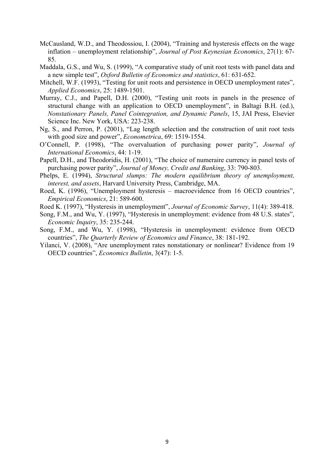- McCausland, W.D., and Theodossiou, I. (2004), "Training and hysteresis effects on the wage inflation – unemployment relationship", *Journal of Post Keynesian Economics*, 27(1): 67- 85.
- Maddala, G.S., and Wu, S. (1999), "A comparative study of unit root tests with panel data and a new simple test", *Oxford Bulletin of Economics and statistics*, 61: 631-652.
- Mitchell, W.F. (1993), "Testing for unit roots and persistence in OECD unemployment rates", *Applied Economics*, 25: 1489-1501.
- Murray, C.J., and Papell, D.H. (2000), "Testing unit roots in panels in the presence of structural change with an application to OECD unemployment", in Baltagi B.H. (ed.), *Nonstationary Panels, Panel Cointegration, and Dynamic Panels*, 15, JAI Press, Elsevier Science Inc. New York, USA: 223-238.
- Ng, S., and Perron, P. (2001), "Lag length selection and the construction of unit root tests with good size and power", *Econometrica*, 69: 1519-1554.
- O'Connell, P. (1998), "The overvaluation of purchasing power parity", *Journal of International Economics*, 44: 1-19.
- Papell, D.H., and Theodoridis, H. (2001), "The choice of numeraire currency in panel tests of purchasing power parity", *Journal of Money, Credit and Banking*, 33: 790-803.
- Phelps, E. (1994), *Structural slumps: The modern equilibrium theory of unemployment, interest, and assets*, Harvard University Press, Cambridge, MA.
- Roed, K. (1996), "Unemployment hysteresis macroevidence from 16 OECD countries", *Empirical Economics*, 21: 589-600.
- Roed K. (1997), "Hysteresis in unemployment", *Journal of Economic Survey*, 11(4): 389-418.
- Song, F.M., and Wu, Y. (1997), "Hysteresis in unemployment: evidence from 48 U.S. states", *Economic Inquiry*, 35: 235-244.
- Song, F.M., and Wu, Y. (1998), "Hysteresis in unemployment: evidence from OECD countries", *The Quarterly Review of Economics and Finance*, 38: 181-192.
- Yilanci, V. (2008), "Are unemployment rates nonstationary or nonlinear? Evidence from 19 OECD countries", *Economics Bulletin*, 3(47): 1-5.